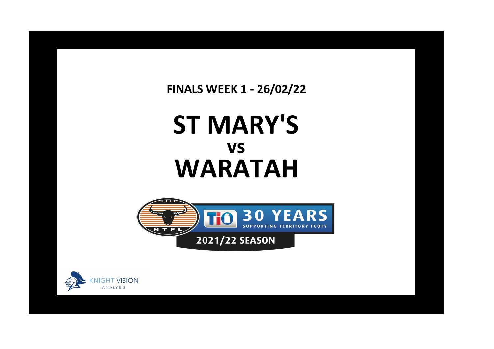**FINALS WEEK 1 - 26/02/22**

## **ST MARY'S WARATAH vs**





**x**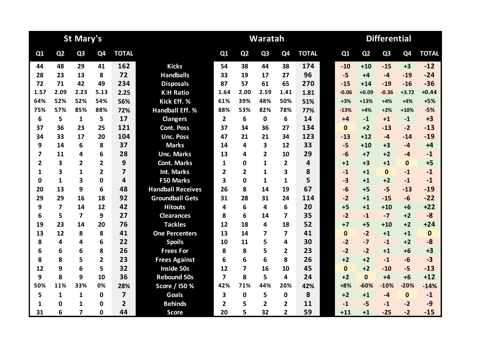|                |                         | <b>St Mary's</b>        |                         |                         |                          |                |                | Waratah        |                         |                         | <b>Differential</b> |                |                |                |              |  |
|----------------|-------------------------|-------------------------|-------------------------|-------------------------|--------------------------|----------------|----------------|----------------|-------------------------|-------------------------|---------------------|----------------|----------------|----------------|--------------|--|
| Q1             | Q <sub>2</sub>          | Q <sub>3</sub>          | Q <sub>4</sub>          | <b>TOTAL</b>            |                          | Q1             | Q <sub>2</sub> | Q <sub>3</sub> | Q <sub>4</sub>          | <b>TOTAL</b>            | Q1                  | Q <sub>2</sub> | Q <sub>3</sub> | Q <sub>4</sub> | <b>TOTAL</b> |  |
| 44             | 48                      | 29                      | 41                      | 162                     | <b>Kicks</b>             | 54             | 38             | 44             | 38                      | 174                     | $-10$               | $+10$          | $-15$          | $+3$           | $-12$        |  |
| 28             | 23                      | 13                      | 8                       | 72                      | <b>Handballs</b>         | 33             | 19             | 17             | 27                      | 96                      | $-5$                | $+4$           | $-4$           | $-19$          | $-24$        |  |
| 72             | 71                      | 42                      | 49                      | 234                     | <b>Disposals</b>         | 87             | 57             | 61             | 65                      | 270                     | $-15$               | $+14$          | $-19$          | $-16$          | $-36$        |  |
| 1.57           | 2.09                    | 2.23                    | 5.13                    | 2.25                    | <b>K:H Ratio</b>         | 1.64           | 2.00           | 2.59           | 1.41                    | 1.81                    | $-0.06$             | $+0.09$        | $-0.36$        | $+3.72$        | $+0.44$      |  |
| 64%            | 52%                     | 52%                     | 54%                     | 56%                     | Kick Eff. %              | 61%            | 39%            | 48%            | 50%                     | 51%                     | $+3%$               | $+13%$         | $+4%$          | $+4%$          | $+5%$        |  |
| 75%            | 57%                     | 85%                     | 88%                     | 72%                     | <b>Handball Eff. %</b>   | 88%            | 53%            | 82%            | 78%                     | 77%                     | $-13%$              | $+4%$          | $+2%$          | $+10%$         | $-5%$        |  |
| 6              | 5                       | 1                       | 5                       | 17                      | <b>Clangers</b>          | $\overline{2}$ | 6              | $\mathbf{0}$   | 6                       | 14                      | $+4$                | $-1$           | $+1$           | $-1$           | $+3$         |  |
| 37             | 36                      | 23                      | 25                      | 121                     | <b>Cont. Poss</b>        | 37             | 34             | 36             | 27                      | 134                     | $\mathbf{0}$        | $+2$           | $-13$          | $-2$           | $-13$        |  |
| 34             | 33                      | 17                      | 20                      | 104                     | <b>Unc. Poss</b>         | 47             | 21             | 21             | 34                      | 123                     | $-13$               | $+12$          | $-4$           | $-14$          | $-19$        |  |
| 9              | 14                      | 6                       | 8                       | 37                      | <b>Marks</b>             | 14             | 4              | 3              | 12                      | 33                      | $-5$                | $+10$          | $+3$           | $-4$           | $+4$         |  |
| 7              | 11                      | 4                       | 6                       | 28                      | <b>Unc. Marks</b>        | 13             | 4              | $\overline{2}$ | 10                      | 29                      | $-6$                | $+7$           | $+2$           | $-4$           | $-1$         |  |
| $\overline{2}$ | 3                       | $\overline{2}$          | $\mathbf{2}$            | 9                       | <b>Cont. Marks</b>       | 1              | 0              | 1              | $\overline{2}$          | $\overline{\mathbf{4}}$ | $+1$                | $+3$           | $+1$           | $\mathbf{0}$   | $+5$         |  |
| 1              | 3                       | $\mathbf{1}$            | $\overline{2}$          | $\overline{7}$          | <b>Int. Marks</b>        | $\overline{2}$ | $\overline{2}$ | $\mathbf{1}$   | 3                       | 8                       | $-1$                | $+1$           | $\mathbf{0}$   | $-1$           | $-1$         |  |
| 0              | 1                       | 3                       | 0                       | $\overline{\mathbf{4}}$ | <b>F50 Marks</b>         | 3              | $\Omega$       | 1              | 1                       | 5                       | $-3$                | $+1$           | $+2$           | $-1$           | $-1$         |  |
| 20             | 13                      | 9                       | 6                       | 48                      | <b>Handball Receives</b> | 26             | 8              | 14             | 19                      | 67                      | $-6$                | $+5$           | $-5$           | $-13$          | $-19$        |  |
| 29             | 29                      | 16                      | 18                      | 92                      | <b>Groundball Gets</b>   | 31             | 28             | 31             | 24                      | 114                     | $-2$                | $+1$           | $-15$          | $-6$           | $-22$        |  |
| 9              | $\overline{\mathbf{z}}$ | 14                      | 12                      | 42                      | <b>Hitouts</b>           | 4              | 6              | 4              | 6                       | 20                      | $+5$                | $+1$           | $+10$          | $+6$           | $+22$        |  |
| 6              | 5                       | $\overline{\mathbf{z}}$ | 9                       | 27                      | <b>Clearances</b>        | 8              | 6              | 14             | 7                       | 35                      | $-2$                | $-1$           | $-7$           | $+2$           | $-8$         |  |
| 19             | 23                      | 14                      | 20                      | 76                      | <b>Tackles</b>           | 12             | 18             | 4              | 18                      | 52                      | $+7$                | $+5$           | $+10$          | $+2$           | $+24$        |  |
| 13             | 12                      | 8                       | 8                       | 41                      | <b>One Percenters</b>    | 13             | 14             | 7              | $\overline{\mathbf{z}}$ | 41                      | $\mathbf{0}$        | $-2$           | $+1$           | $+1$           | $\mathbf 0$  |  |
| 8              | 4                       | 4                       | 6                       | 22                      | <b>Spoils</b>            | 10             | 11             | 5              | 4                       | 30                      | $-2$                | $-7$           | $-1$           | $+2$           | $-8$         |  |
| 6              | 6                       | 6                       | 8                       | 26                      | <b>Frees For</b>         | 8              | 8              | 5              | $\mathbf{2}$            | 23                      | $-2$                | $-2$           | $+1$           | $+6$           | $+3$         |  |
| 8              | 8                       | 5                       | $\overline{\mathbf{2}}$ | 23                      | <b>Frees Against</b>     | 6              | 6              | 6              | 8                       | 26                      | $+2$                | $+2$           | $-1$           | $-6$           | $-3$         |  |
| 12             | 9                       | 6                       | 5                       | 32                      | Inside 50s               | 12             | 7              | 16             | 10                      | 45                      | $\mathbf{0}$        | $+2$           | $-10$          | $-5$           | $-13$        |  |
| 9              | 8                       | 9                       | 10                      | 36                      | <b>Rebound 50s</b>       | $\overline{ }$ | 8              | 5              | 4                       | 24                      | $+2$                | $\Omega$       | $+4$           | $+6$           | $+12$        |  |
| 50%            | 11%                     | 33%                     | 0%                      | 28%                     | Score / I50 %            | 42%            | 71%            | 44%            | 20%                     | 42%                     | $+8%$               | $-60%$         | $-10%$         | $-20%$         | $-14%$       |  |
| 5              | 1                       | $\mathbf{1}$            | $\mathbf{0}$            | $\overline{7}$          | <b>Goals</b>             | 3              | $\mathbf 0$    | 5              | $\mathbf 0$             | 8                       | $+2$                | $+1$           | $-4$           | $\mathbf{0}$   | $-1$         |  |
| 1              | 0                       | 1                       | 0                       | $\overline{2}$          | <b>Behinds</b>           | 2              | 5              | $\overline{2}$ | $\overline{2}$          | 11                      | $-1$                | $-5$           | $-1$           | $-2$           | $-9$         |  |
| 31             | 6                       | $\overline{7}$          | 0                       | 44                      | <b>Score</b>             | 20             | 5              | 32             | $\overline{2}$          | 59                      | $+11$               | $+1$           | $-25$          | $-2$           | $-15$        |  |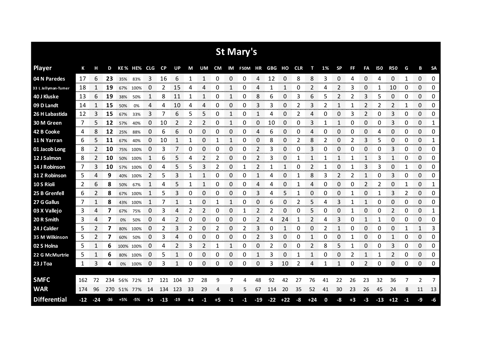|                      |       |       |     |       |             |      |       |       |    |    |           |               | St Mary's  |              |                   |             |      |       |    |           |      |                |            |            |      |    |                     |
|----------------------|-------|-------|-----|-------|-------------|------|-------|-------|----|----|-----------|---------------|------------|--------------|-------------------|-------------|------|-------|----|-----------|------|----------------|------------|------------|------|----|---------------------|
| <b>Player</b>        | К     | н     | D   |       | KE% HE% CLG |      | CP    | UP    | M  | UM | <b>CM</b> |               | IM F50M HR |              | <b>GBG HO CLR</b> |             |      | т     | 1% | <b>SP</b> | FF   | FA             | <b>I50</b> | <b>R50</b> | G    | B  | <b>SA</b>           |
| 04 N Paredes         | 17    | 6     | 23  | 35%   | 83%         | 3    | 16    | 6     | 1  | 1  | 0         | 0             | 0          | 4            | 12                | 0           | 8    | 8     | 3  | 0         | 4    | 0              | 4          | 0          | 1    | 0  | $\mathbf{0}$        |
| 33 L Jellyman-Turner | 18    |       | 19  | 67%   | 100%        | 0    | 2     | 15    | Δ  | 4  | 0         |               | 0          | 4            |                   |             | 0    | 2     | 4  | 2         | 3    | 0              |            | 10         | 0    | 0  | 0                   |
| 40 J Kluske          | 13    | 6     | 19  | 38%   | 50%         | 1    | 8     | 11    | 1  | 1  | 0         | 1             | 0          | 8            | 6                 | 0           | 3    | 6     | 5  | 2         |      | 3              | 5          | 0          | 0    | 0  | 0                   |
| 09 D Landt           | 14    | 1     | 15  | 50%   | 0%          | 4    | 4     | 10    | 4  | 4  | 0         | 0             | 0          | 3            | 3                 | 0           | 2    | 3     | 2  | 1         |      | 2              | 2          | 2          | 1    | 0  | 0                   |
| 26 H Labastida       | 12    | 3     | 15  | 67%   | 33%         | 3    | 7     | 6     | 5  | 5  | 0         | 1             | 0          | $\mathbf{1}$ | 4                 | 0           | 2    | 4     | 0  | 0         | 3    | $\overline{2}$ | 0          | 3          | 0    | 0  | 0                   |
| 30 M Green           | 7     | 5     | 12  | 57%   | 40%         | 0    | 10    | 2     | 2  | 2  | 0         | 1             | 0          | 0            | 10                | 0           | 0    | 3     | 1  | 1         | 0    | 0              | 0          | 3          | 0    | 0  | 1                   |
| 42 B Cooke           | 4     | 8     | 12  | 25%   | 88%         | 0    | 6     | 6     | 0  | 0  | 0         | 0             | 0          | 4            | 6                 | 0           | 0    | 4     | 0  | 0         | 0    | 0              | 4          | 0          | 0    | 0  | 0                   |
| 11 N Yarran          | 6     | 5     | 11  | 67%   | 40%         | 0    | 10    |       | 1  | 0  | 1         | 1             | 0          | 0            | 8                 | 0           | 2    | 8     | 2  | 0         | 2    | 3              | 5          | 0          | 0    | 0  | 1                   |
| 01 Jacob Long        | 8     | 2     | 10  | 75%   | 100%        | 0    | 3     | 7     | 0  | 0  | 0         | 0             | 0          | 2            | 3                 | 0           | 0    | 3     | 0  | 0         | 0    | 0              | 0          | 3          | 0    | 0  | 0                   |
| 12 J Salmon          | 8     | 2     | 10  | 50%   | 100%        | 1    | 6     | 5     | 4  | 2  | 2         | 0             | 0          | 2            | 3                 | 0           |      | 1     | 1  | 1         | 1    | 1              | 3          | 1          | 0    | 0  | 0                   |
| 14 J Robinson        | 7     | 3     | 10  | 57%   | 100%        | 0    | 4     | 5     | 5  | 3  | 2         | 0             | 1          | 2            |                   | 1           | 0    | 2     | 1  | 0         |      | 3              | 3          | 0          | 1    | 0  | 0                   |
| 31 Z Robinson        | 5     | 4     | 9   | 40%   | 100%        | 2    | 5     | 3     | 1  | 1  | 0         | 0             | 0          | 1            | 4                 | 0           |      | 8     | 3  | 2         | 2    | 1              | 0          | 3          | 0    | 0  | 0                   |
| 10 S Rioli           | 2     | 6     | 8   | 50%   | 67%         | 1    | 4     | 5     | 1  | 1  | 0         | 0             | 0          | 4            | 4                 | 0           | 1    | 4     | 0  | 0         | 0    | $\overline{2}$ | 2          | 0          | 1    | 0  | 1                   |
| 25 B Grenfell        | 6     | 2     | 8   | 67%   | 100%        |      | 5     | 3     | 0  | 0  | 0         | 0             | 0          | 3            | 4                 | 5           |      | 0     | 0  | 0         |      | 0              | 1          | 3          | 2    | 0  | 0                   |
| 27 G Gallus          | 7     |       | 8   |       | 43% 100%    |      | 7     |       | 1  | 0  | 1         |               | 0          | 0            | 6                 | 0           | 2    | 5     | 4  | 3         |      | 1              | 0          | 0          | 0    | 0  | 0                   |
| 03 X Vallejo         | 3     | 4     | 7   | 67%   | 75%         | 0    | 3     | 4     | 2  | 2  | 0         | 0             | 1          | 2            | 2                 | 0           | 0    | 5     | 0  | 0         |      | 0              | 0          | 2          | 0    | 0  | 1<br>mana           |
| 20 R Smith           | 3     | 4     | 7   | 0%    | 50%         | 0    | 4     | 2     | 0  | 0  | 0         | 0             | 0          | 2            | 4                 | 24          |      | 2     | 4  | 3         | 0    | 1              | 1          | 0          | 0    | 0  | 0                   |
| 24 J Calder          | 5     |       |     | 80%   | 100%        | 0    | 2     | 3     | 2  | 0  | 2         | 0             | 2          | 3            | 0                 | 1           | 0    | 0     |    |           | Ω    | 0              | 0          | 0          |      | 1  | 3                   |
| 35 M Wilkinson       | 5     | 2     | 7   | 60%   | 50%         | 0    | 3     | 4     | 0  | 0  | 0         | 0             | 0          | 2            | 3                 | 0           | 0    | 1     | 0  | 0         | 1    | 0              | 0          | 1          | 0    | 0  | 0                   |
| 02 S Holna           | 5     | 1     | 6   |       | 100% 100%   | 0    | 4     | 2     | 3  | 2  | 1         | 1             | 0          | 0            | 2                 | 0           | 0    | 2     | 8  | 5         |      | 0              | 0          | 3          | 0    | 0  | 0<br><b>TOTO DO</b> |
| 22 G McMurtrie       | 5     |       | 6   | 80%   | 100%        | 0    | 5     |       | 0  | 0  | 0         | 0<br>an an an | 0          | 1            | 3                 | 0           |      |       | 0  | 0         | 2    | 1              | 1          | 2          | 0    | 0  | 0                   |
| 23 J Toa             | 1     | 3     | 4   |       | 0% 100%     | 0    | 3     |       | 0  | 0  | 0         | 0             | 0          | 0            | 3                 | 10          | 2    | 4     | 1  | 1         | 0    | 2              | 0          | 0          | 0    | 0  | 0                   |
|                      |       |       |     |       |             |      |       |       |    |    |           |               |            |              |                   |             |      |       |    |           |      |                |            |            |      |    |                     |
| <b>SMFC</b>          | 162   | 72    | 234 |       | 56% 72%     | 17   | 121   | 104   | 37 | 28 | 9         | 7             | 4          | 48           | 92                | 42          | 27   | 76    | 41 | 22        | 26   | 23             | 32         | 36         | 7    | 2  | 7                   |
| <b>WAR</b>           | 174   | 96    | 270 |       | 51% 77%     | 14   | 134   | 123   | 33 | 29 | 4         | 8             | 5          | 67           | 114               | 20          | 35   | 52    | 41 | 30        | 23   | 26             | 45         | 24         | 8    | 11 | 13                  |
| <b>Differential</b>  | $-12$ | $-24$ | -36 | $+5%$ | -5%         | $+3$ | $-13$ | $-19$ | +4 | -1 | $+5$      | -1            | $-1$       | $-19$        |                   | $-22$ $+22$ | $-8$ | $+24$ | 0  | -8        | $+3$ | $-3$           | $-13$      | $+12$      | $-1$ | -9 | -6                  |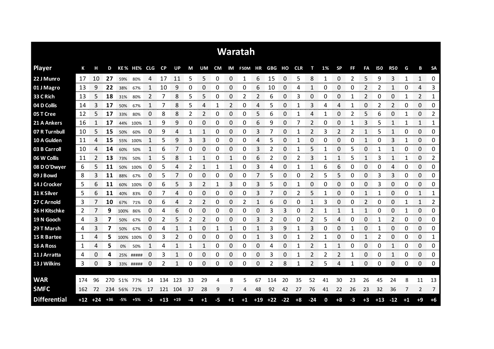|                     |     |             |       |           |             |                    |           |       |    |                |    |                    | <b>Waratah</b>           |       |       |       |      |       |    |              |                |                |            |                |         |                           |                              |
|---------------------|-----|-------------|-------|-----------|-------------|--------------------|-----------|-------|----|----------------|----|--------------------|--------------------------|-------|-------|-------|------|-------|----|--------------|----------------|----------------|------------|----------------|---------|---------------------------|------------------------------|
| <b>Player</b>       | К   | н           | D     |           | KE% HE% CLG |                    | <b>CP</b> | UP    | M  | UM             |    |                    | CM IM F50M HR GBG HO CLR |       |       |       |      | т     | 1% | <b>SP</b>    | FF             | FA             | <b>I50</b> | <b>R50</b>     | G       | В                         | <b>SA</b>                    |
| 22 J Munro          | 17  | 10          | 27    | 59%       | 80%         | 4                  | 17        | 11    | 5  | 5              | 0  | 0                  |                          | 6     | 15    | 0     | 5    | 8     | 1  | 0            | 2              | 5              | 9          | 3              | 1       | 1                         | 0                            |
| 01 J Magro          | -13 | 9           | 22    | 38%       | 67%         |                    | 10        | 9     | 0  | 0              | 0  | 0                  | 0                        | 6     | 10    | 0     | 4    | 1     | 0  | 0            | 0              | 2              | 2          | 1              | 0       | 4                         | 3                            |
| 33 C Rich           | 13  | 5           | 18    | 31%       | 80%         | 2                  | 7         | 8     | 5  | 5              | 0  | 0                  | 2                        | 2     | 6     | 0     | 3    | 0     | 0  | 0            |                | $\overline{2}$ | 0          | 0              | 1       | 2                         | 1                            |
| 04 D Collis         | 14  | 3           | 17    | 50%       | 67%         |                    |           | 8     | 5  | 4              | 1  | 2                  | 0                        | 4     | 5     | 0     |      | 3     | 4  | 4            | 1              | 0              |            | 2              | 0       | 0                         | 0                            |
| 05 T Cree           | 12  | 5           | 17    | 33%       | 80%         | 0                  | 8         | 8     | 2  | $\overline{2}$ | 0  | 0                  | 0                        | 5     | 6     | 0     |      | 4     | 1  | 0            | $\overline{2}$ | 5              | 6          | 0              | 1       | 0                         | 2                            |
| 21 A Ankers         | 16  | 1           | 17    | 44%       | 100%        | 1                  | 9         | 9     | 0  | 0              | 0  | 0                  | 0                        | 6     | 9     | 0     |      | 2     | 0  | 0            | 1              | 3              | 5          | 1              | 1       | 1                         | 1                            |
| 07 R Turnbull       | 10  | 5           | 15    | 50%       | 60%         | 0                  | 9         | 4     | 1  | 1              | 0  | 0                  | 0                        | 3     | 7     | 0     |      | 2     | 3  | 2            | 2              | 1              | 5          | 1              | 0       | 0                         | 0                            |
| 10 A Gulden         | 11  | 4           | 15    | 55%       | 100%        | 1                  | 5         | 9     | 3  | 3              | 0  | 0                  | 0                        | 4     | 5     | 0     | 1    | 0     | 0  | 0            | 0              | 1              | 0          | 3              | 1       | 0                         | 0                            |
| 03 B Carroll        | 10  | 4           | 14    | 60%       | 50%         | 1                  | 6         | 7     | 0  | 0              | 0  | 0                  | 0                        | 3     | 2     | 0     | 1    | 5     | 1  | 0            | 5              | 0              |            | $\mathbf{1}$   | 0       | 0                         | 0                            |
| 06 W Collis         | 11  | 2           | 13    | 73%       | 50%         | 1                  | 5         | 8     | 1  | 1              | 0  | 1                  | 0                        | 6     | 2     | 0     | 2    | 3     | 1  | 1            | 5              | 1              | 3          | 1              | 1       | 0                         | 2                            |
| 08 D O'Dwyer        | 6   | 5           | 11    | 50%       | 100%        | 0                  | 5         | 4     | 2  | 1              | 1  | 1                  | 0                        | 3     | 4     | 0     |      | 1     | 6  | 6            | 0              | 0              | 0          | 4              | 0       | 0                         | 0                            |
| 09 J Bowd           | 8   | 3           | 11    | 88%       | 67%         | 0                  | 5         |       | 0  | 0              | 0  | 0                  | 0                        | 7     | 5     | 0     | 0    | 2     | 5  | 5            | 0              | 0              | 3          | 3              | 0       | 0                         | 0                            |
| 14 J Crocker        | 5   | 6           | 11    | 60%       | 100%        | 0                  | 6         | 5     | 3  | $\overline{2}$ | 1  | 3                  | 0                        | 3     | 5     | 0     |      | 0     | 0  | 0            | 0              | 0              | 3          | 0              | 0       | 0                         | 0                            |
| 31 K Silver         | 5   | 6           | 11    | 40%       | 83%         | 0                  |           | Δ     | 0  | 0              | 0  | 0                  | 0                        | 3     |       | 0     |      | 5     | 1  | 0            | 0              | 1              |            | 0              | 0       | 1                         | 1<br><b>TOTAL TELEVISION</b> |
| 27 C Arnold         | 3   |             | 10    | 67%       | 71%         | 0                  | 6         | 4     | 2  | 2              | 0  | 0                  | 2                        |       | 6     | 0     | Ω    |       | 3  | 0            | 0              | 2              | 0          | 0<br>anananana |         | 1                         | 2                            |
| 26 H Kitschke       | 2   |             | 9     | 100%      | 86%         | O<br>------------- |           | 6     | 0  | 0              | O  | 0<br><b>TOO OO</b> | 0                        | O     | 3     | 3     | Ω    |       |    |              |                |                |            | 0<br>oommo     | on one. | 0<br><b>TOTAL CONTROL</b> | 0<br><b>Management</b>       |
| 19 N Gooch          | 4   | 3           |       | 50%       | 67%         | 0                  | 2         | 5     | 2  | 2              | 0  | 0                  | 0                        | 3     | 2     | 0     | 0    | 2     | 5  | 4            | 0              | 0              |            | 2              | 0       | 0                         | 0<br>ana araw                |
| 29 T Marsh          | 4   |             |       | 50%       | 67%         | 0                  |           |       |    | 0              |    |                    | 0                        |       | 3     | 9     |      | 3     |    | 0            |                | 0              |            | 0              | 0       | 0                         | 0                            |
| <b>15 R Bartee</b>  | 1   | 4           | 5.    | 100% 100% |             | 0                  | 3         | 2     | 0  | 0              | 0  | 0                  | 0                        | 1     | 3     | 0     |      | 2     |    | 0            | 0              | 1              | 2          | 0              | 0       | 0                         | 1                            |
| 16 A Ross           | 1   | 4           | 5     | 0%        | 50%         |                    | 4         |       | 1  | 1              | 0  | 0                  | 0                        | 0     | 4     | 0     |      | 2     |    | $\mathbf{1}$ | 0              | 0              | 0          | 1              | 0       | 0                         | 0                            |
| 11 J Arratta        | 4   | 0           | 4     |           | 25% #####   | 0                  | 3         | 1     | 0  | 0              | 0  | 0                  | 0                        | 0     | 3     | 0     | 1    | 2     | 2  | 2            | 1              | 0              | 0          | 1              | 0       | 0                         | 0                            |
| 13 J Wilkins        | 3   | 0           | 3     |           | 33% #####   | 0                  | 2         | 1     | 0  | 0              | 0  | 0                  | 0                        | 0     | 2     | 8     | 1    | 2     | 5  | 4            | -1             | $\Omega$       | 0          | 0              | 0       | 0                         | 0                            |
|                     |     |             |       |           |             |                    |           |       |    |                |    |                    |                          |       |       |       |      |       |    |              |                |                |            |                |         |                           |                              |
| <b>WAR</b>          | 174 | 96          | 270   | 51%       | 77%         | 14                 | 134       | 123   | 33 | 29             | 4  | 8                  | 5                        | 67    | 114   | 20    | 35   | 52    | 41 | 30           | 23             | 26             | 45         | 24             | 8       | 11                        | 13                           |
| <b>SMFC</b>         | 162 | 72          | 234   | 56% 72%   |             | 17                 | 121       | 104   | 37 | 28             | 9  | 7                  | 4                        | 48    | 92    | 42    | 27   | 76    | 41 | 22           | 26             | 23             | 32         | 36             | 7       | 2                         | 7                            |
| <b>Differential</b> |     | $+12$ $+24$ | $+36$ | -5%       | $+5%$       | -3                 | $+13$     | $+19$ | -4 | $^{\bf +1}$    | -5 | $+1$               | $+1$                     | $+19$ | $+22$ | $-22$ | $+8$ | $-24$ | 0  | $+8$         | -3             | $+3$           | $+13$      | $-12$          | $+1$    | $+9$                      | $+6$                         |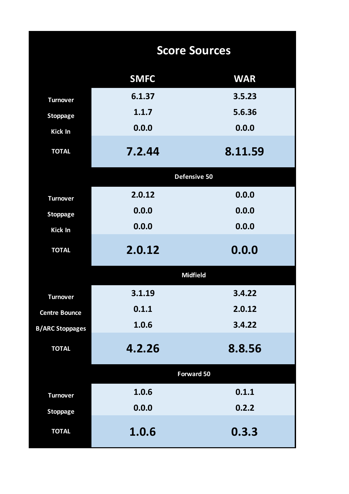|                        | <b>Score Sources</b> |                 |  |  |  |  |  |  |  |  |
|------------------------|----------------------|-----------------|--|--|--|--|--|--|--|--|
|                        | <b>SMFC</b>          | <b>WAR</b>      |  |  |  |  |  |  |  |  |
| <b>Turnover</b>        | 6.1.37               | 3.5.23          |  |  |  |  |  |  |  |  |
| <b>Stoppage</b>        | 1.1.7                | 5.6.36          |  |  |  |  |  |  |  |  |
| <b>Kick In</b>         | 0.0.0                | 0.0.0           |  |  |  |  |  |  |  |  |
| <b>TOTAL</b>           | 7.2.44               | 8.11.59         |  |  |  |  |  |  |  |  |
|                        |                      | Defensive 50    |  |  |  |  |  |  |  |  |
| <b>Turnover</b>        | 2.0.12               | 0.0.0           |  |  |  |  |  |  |  |  |
| <b>Stoppage</b>        | 0.0.0                | 0.0.0           |  |  |  |  |  |  |  |  |
| <b>Kick In</b>         | 0.0.0                | 0.0.0           |  |  |  |  |  |  |  |  |
| <b>TOTAL</b>           | 2.0.12               | 0.0.0           |  |  |  |  |  |  |  |  |
|                        |                      | <b>Midfield</b> |  |  |  |  |  |  |  |  |
| <b>Turnover</b>        | 3.1.19               | 3.4.22          |  |  |  |  |  |  |  |  |
| <b>Centre Bounce</b>   | 0.1.1                | 2.0.12          |  |  |  |  |  |  |  |  |
| <b>B/ARC Stoppages</b> | 1.0.6                | 3.4.22          |  |  |  |  |  |  |  |  |
| <b>TOTAL</b>           | 4.2.26               | 8.8.56          |  |  |  |  |  |  |  |  |
|                        |                      | Forward 50      |  |  |  |  |  |  |  |  |
| <b>Turnover</b>        | 1.0.6                | 0.1.1           |  |  |  |  |  |  |  |  |
| <b>Stoppage</b>        | 0.0.0                | 0.2.2           |  |  |  |  |  |  |  |  |
| <b>TOTAL</b>           | 1.0.6                | 0.3.3           |  |  |  |  |  |  |  |  |